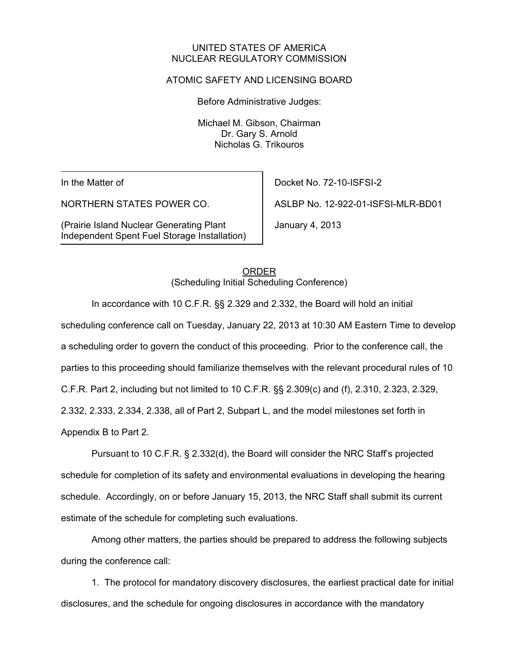#### UNITED STATES OF AMERICA NUCLEAR REGULATORY COMMISSION

### ATOMIC SAFETY AND LICENSING BOARD

Before Administrative Judges:

Michael M. Gibson, Chairman Dr. Gary S. Arnold Nicholas G. Trikouros

In the Matter of

NORTHERN STATES POWER CO.

(Prairie Island Nuclear Generating Plant Independent Spent Fuel Storage Installation) Docket No. 72-10-ISFSI-2

ASLBP No. 12-922-01-ISFSI-MLR-BD01

January 4, 2013

 ORDER (Scheduling Initial Scheduling Conference)

In accordance with 10 C.F.R. §§ 2.329 and 2.332, the Board will hold an initial

scheduling conference call on Tuesday, January 22, 2013 at 10:30 AM Eastern Time to develop

a scheduling order to govern the conduct of this proceeding. Prior to the conference call, the

parties to this proceeding should familiarize themselves with the relevant procedural rules of 10

C.F.R. Part 2, including but not limited to 10 C.F.R. §§ 2.309(c) and (f), 2.310, 2.323, 2.329,

2.332, 2.333, 2.334, 2.338, all of Part 2, Subpart L, and the model milestones set forth in

Appendix B to Part 2.

Pursuant to 10 C.F.R. § 2.332(d), the Board will consider the NRC Staff's projected schedule for completion of its safety and environmental evaluations in developing the hearing schedule. Accordingly, on or before January 15, 2013, the NRC Staff shall submit its current estimate of the schedule for completing such evaluations.

Among other matters, the parties should be prepared to address the following subjects during the conference call:

1. The protocol for mandatory discovery disclosures, the earliest practical date for initial disclosures, and the schedule for ongoing disclosures in accordance with the mandatory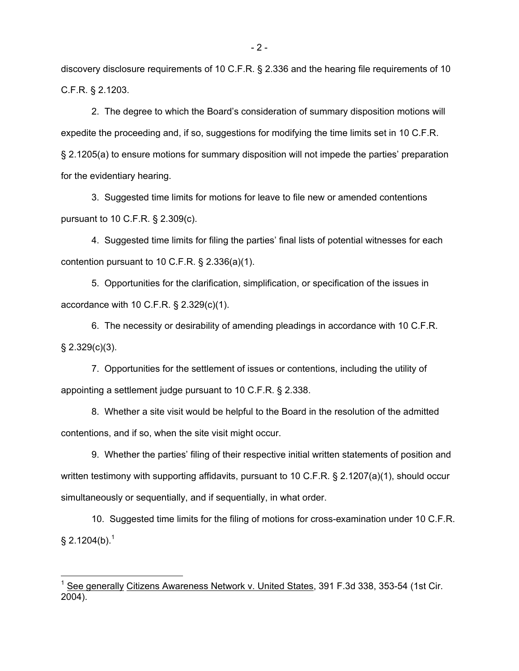discovery disclosure requirements of 10 C.F.R. § 2.336 and the hearing file requirements of 10 C.F.R. § 2.1203.

2. The degree to which the Board's consideration of summary disposition motions will expedite the proceeding and, if so, suggestions for modifying the time limits set in 10 C.F.R. § 2.1205(a) to ensure motions for summary disposition will not impede the parties' preparation for the evidentiary hearing.

3. Suggested time limits for motions for leave to file new or amended contentions pursuant to 10 C.F.R. § 2.309(c).

4. Suggested time limits for filing the parties' final lists of potential witnesses for each contention pursuant to 10 C.F.R. § 2.336(a)(1).

5. Opportunities for the clarification, simplification, or specification of the issues in accordance with 10 C.F.R. § 2.329(c)(1).

6. The necessity or desirability of amending pleadings in accordance with 10 C.F.R.  $§$  2.329(c)(3).

7. Opportunities for the settlement of issues or contentions, including the utility of appointing a settlement judge pursuant to 10 C.F.R. § 2.338.

8. Whether a site visit would be helpful to the Board in the resolution of the admitted contentions, and if so, when the site visit might occur.

9. Whether the parties' filing of their respective initial written statements of position and written testimony with supporting affidavits, pursuant to 10 C.F.R. § 2.1207(a)(1), should occur simultaneously or sequentially, and if sequentially, in what order.

10. Suggested time limits for the filing of motions for cross-examination under 10 C.F.R.  $\S 2.1204(b).$ <sup>1</sup>

 $\overline{a}$ 

- 2 -

<sup>&</sup>lt;sup>1</sup> See generally Citizens Awareness Network v. United States, 391 F.3d 338, 353-54 (1st Cir. 2004).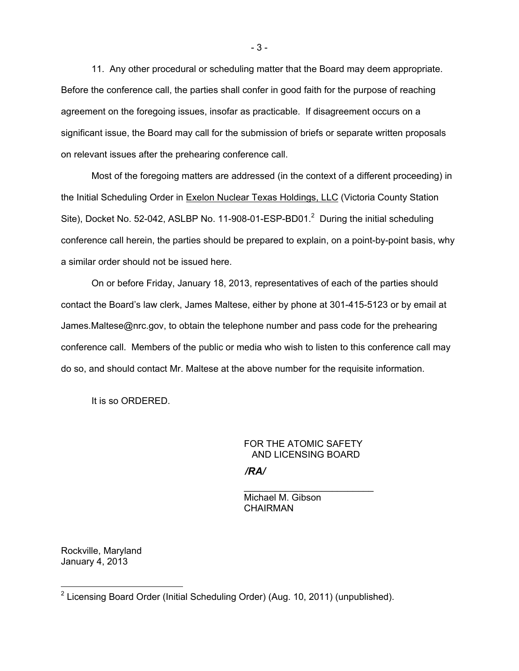11. Any other procedural or scheduling matter that the Board may deem appropriate. Before the conference call, the parties shall confer in good faith for the purpose of reaching agreement on the foregoing issues, insofar as practicable. If disagreement occurs on a significant issue, the Board may call for the submission of briefs or separate written proposals on relevant issues after the prehearing conference call.

Most of the foregoing matters are addressed (in the context of a different proceeding) in the Initial Scheduling Order in Exelon Nuclear Texas Holdings, LLC (Victoria County Station Site), Docket No. 52-042, ASLBP No. 11-908-01-ESP-BD01. $^2$  During the initial scheduling conference call herein, the parties should be prepared to explain, on a point-by-point basis, why a similar order should not be issued here.

On or before Friday, January 18, 2013, representatives of each of the parties should contact the Board's law clerk, James Maltese, either by phone at 301-415-5123 or by email at James.Maltese@nrc.gov, to obtain the telephone number and pass code for the prehearing conference call. Members of the public or media who wish to listen to this conference call may do so, and should contact Mr. Maltese at the above number for the requisite information.

It is so ORDERED.

## FOR THE ATOMIC SAFETY AND LICENSING BOARD

*/RA/*

 Michael M. Gibson **CHAIRMAN** 

Rockville, Maryland January 4, 2013

 $\overline{a}$ 

 $\overline{\phantom{a}}$  , which is a set of the set of the set of the set of the set of the set of the set of the set of the set of the set of the set of the set of the set of the set of the set of the set of the set of the set of th

<sup>&</sup>lt;sup>2</sup> Licensing Board Order (Initial Scheduling Order) (Aug. 10, 2011) (unpublished).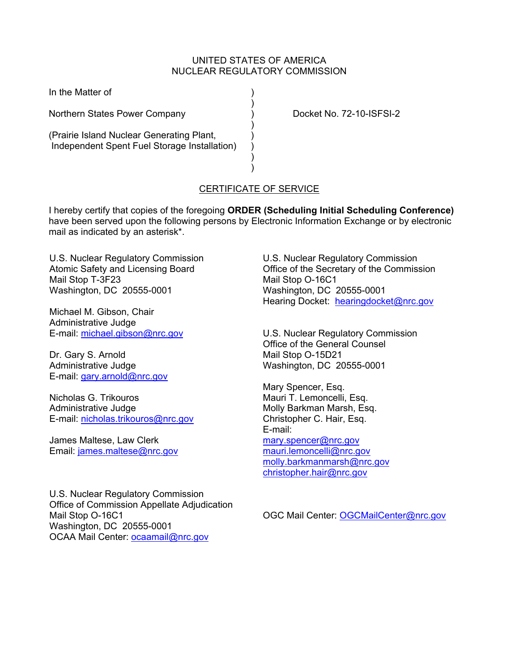### UNITED STATES OF AMERICA NUCLEAR REGULATORY COMMISSION

In the Matter of )

Northern States Power Company (and Conserved Conserved Conserved) Docket No. 72-10-ISFSI-2

(Prairie Island Nuclear Generating Plant, ) Independent Spent Fuel Storage Installation) )

) and the contract of  $\mathcal{L}$ 

) and the contract of  $\mathcal{L}$ 

 $\overline{\phantom{a}}$ ) and the contract of  $\mathcal{L}$ 

# CERTIFICATE OF SERVICE

I hereby certify that copies of the foregoing **ORDER (Scheduling Initial Scheduling Conference)**  have been served upon the following persons by Electronic Information Exchange or by electronic mail as indicated by an asterisk\*.

U.S. Nuclear Regulatory Commission Atomic Safety and Licensing Board Mail Stop T-3F23 Washington, DC 20555-0001

Michael M. Gibson, Chair Administrative Judge E-mail: michael.gibson@nrc.gov

Dr. Gary S. Arnold Administrative Judge E-mail: gary.arnold@nrc.gov

Nicholas G. Trikouros Administrative Judge E-mail: nicholas.trikouros@nrc.gov

James Maltese, Law Clerk Email: james.maltese@nrc.gov

U.S. Nuclear Regulatory Commission Office of Commission Appellate Adjudication Mail Stop O-16C1 Washington, DC 20555-0001 OCAA Mail Center: ocaamail@nrc.gov

U.S. Nuclear Regulatory Commission Office of the Secretary of the Commission Mail Stop O-16C1 Washington, DC 20555-0001 Hearing Docket: hearingdocket@nrc.gov

U.S. Nuclear Regulatory Commission Office of the General Counsel Mail Stop O-15D21 Washington, DC 20555-0001

Mary Spencer, Esq. Mauri T. Lemoncelli, Esq. Molly Barkman Marsh, Esq. Christopher C. Hair, Esq. E-mail:

mary.spencer@nrc.gov mauri.lemoncelli@nrc.gov molly.barkmanmarsh@nrc.gov christopher.hair@nrc.gov

OGC Mail Center: OGCMailCenter@nrc.gov